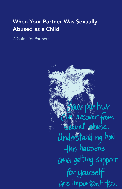## When Your Partner Was Sexually Abused as a Child

A Guide for Partners

Jour poirtner Can recover from<br>Sexual obuse. Understanding how this happens and getting support for yourself are important too.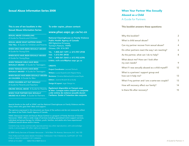#### Sexual Abuse Information Series 2008

#### This is one of ten booklets in the Sexual Abuse Information Series:

SEXUAL ABUSE COUNSELLING

A Guide for Parents and Children

SEXUAL ABUSE WHAT HAPPENS WHEN YOU TELL A Guide for Children and Parents

WHEN GIRLS HAVE BEEN SEXUALLY ABUSED A Guide for Young Girls

WHEN BOYS HAVE BEEN SEXUALLY ABUSED A Guide for Young Boys

WHEN TEENAGE GIRLS HAVE BEEN **SEXUALLY ABUSED** A Guide for Teenagers

WHEN TEENAGE BOYS HAVE BEEN **SEXUALLY ABUSED** A Guide for Teenagers

WHEN MALES HAVE BEEN SEXUALLY ABUSED AS CHILDREN A Guide for Men

WHEN CHILDREN ACT OUT SEXUALLY A Guide for Parents and Teachers

SIBLING SEXUAL ABUSE A Guide for Parents

WHEN YOUR PARTNER WAS SEXUALLY ABUSED AS A CHILD A Guide for Partners To order copies, please contact:

#### www.phac-aspc.gc.ca/nc-cn

National Clearinghouse on Family Violence Public Health Agency of Canada 200 Eglantine Driveway Tunney's Pasture, 1909D Ottawa, ON K1A 0K9 TEL: 1.800.267.1291 or 613.957.2938 FAX: 1.613.941.8930 TTY: 1.800.561.5643 or 613.952.6396 E-MAIL: ncfv-cnivf@phac-aspc.gc.ca

#### **CREDITS**

Project Coordinator: Leonard Terhoch Writers: Louise Doyle & John Napier-Hemy Revisions: Christina Melnechuk & Louise Doyle Editors : Joanne Broatch & Liz Scully Design & Layout: Jager Design Inc. Également disponible en français sous

le titre : Lorsque notre conjoint ou conjointe a été victime de violence sexuelle durant l'enfance. Guide à l'intention des conjoints

Special thanks to the staff at VISAC and the National Clearinghouse on Family Violence and the many others who gave their ideas and support.

The opinions expressed in this document are those of the authors and do not necessarily reflect the views of the Public Health Agency of Canada.

VISAC (Vancouver Incest and Sexual Abuse Centre) is a program of Family Services of Greater Vancouver. VISAC offers a wide range of services including specialized victim support services, individual and group therapy for children, youth, families, and adults who have experienced childhood sexual abuse and/or trauma.

Contents may not be commercially reproduced but any other reproduction, with acknowledgements, is encouraged. All other rights are reserved.

© 2008 Family Services of Greater Vancouver – 1616 West 7th Avenue, Vancouver, B.C. V6J 1S5

HP20-6/10-2007 ISBN 978-0-9809135-4-5 THIS PUBLICATION WAS MADE POSSIBLE THROUGH THE FINANCIAL SUPPORT OF THE PUBLIC HEALTH AGENCY OF CANADA.

### When Your Partner Was Sexually Abused as a Child

A Guide for Partners

#### This booklet answers these questions:

| Why this booklet?                                            | 2  |
|--------------------------------------------------------------|----|
| What is child sexual abuse?                                  | 3  |
| Can my partner recover from sexual abuse?                    | 4  |
| Do other partners react the way I am reacting?               | 6  |
| As the partner, what can I do to help?                       | 8  |
| What about me? How can I look after<br>my own needs?         | 9  |
| What if I was sexually abused as a child myself?             | 12 |
| What is a partners' support group and<br>how can it help me? | 13 |
| What if my partner and I are a same-sex couple?              | 13 |
| How will recovery affect our family?                         | 14 |
| Is there life after recovery?                                | 15 |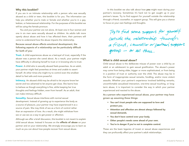#### Why this booklet?

If you are in an intimate relationship with a person who was sexually abused as a child or teen, this booklet is for you. The information can help you whether you're male or female and whether you're in a gay, lesbian, or heterosexual relationship. For the purposes of this booklet we will be using the female pronoun.

You and your partner are not alone. At least one in four women and one in six men were sexually abused as children. As adults talk more openly about abuse and how it has affected them, their partners will come to understand how the abuse impacts the relationship.

Because sexual abuse affects emotional development, the following aspects of a relationship can be particularly difficult for both of you:

**Trust.** A child experiences abuse as a betrayal of trust, especially if the abuser was a person she cared about. As a result, your partner might have difficulty in allowing herself to trust or in knowing who to trust.

Power. A child who is sexually abused feels powerless. As an adult, your partner might feel powerless at times and unable to assert herself. At other times she might try to control even the smallest detail to feel safe and more powerful.

Intimacy. An abused child may be afraid to let anyone know her secret and too ashamed to let anyone get close. She learns how to behave as though everything is fine, while keeping her true thoughts and feelings hidden, even from herself. As an adult, that can make intimacy difficult.

**Sexuality.** Sexual abuse interferes with normal sexual development. Instead of growing up to experience the body as a source of pleasure, your partner may have experienced it as a source of pain. She may think of sex as a form of control rather than an expression of love. As a result, she might withdraw from sex or use sex as a way to get power or affection.

Although we offer a brief discussion, this booklet is not meant to explain child sexual abuse. Instead it focuses on the **effects of abuse** on your partner and on your relationship. We strongly encourage you to learn as much as you can about how people recover from sexual abuse.

In this booklet we also talk about how you might react during your partner's recovery. Sometimes it's hard not to get caught up in your partner's issues. Try to find support for yourself outside the relationship through a friend, counsellor, or support group. This will give you a chance to focus on your own feelings and thoughts.

Try to find some support for yourself outside the relationship through a friend, connsellor or partners' support group  $-$  or all three.

#### What is child sexual abuse?

Child sexual abuse is the deliberate misuse of power over a child by an adult or an adolescent to gain sexual gratification. The abuser's power may come from being older, bigger or more sophisticated, or from being in a position of trust or authority over the child. The abuse may be in the form of inappropriate sexual remarks, fondling, and/or more violent assaults. Whether your partner's experience involved belittling remarks, uncomfortable sexualized interaction, one-time sexual touching, or longterm abuse, it is important to consider the way in which your partner experienced and reacted to the abuse.

As a person who experienced sexual abuse, your partner may have grown up assuming these things:

- You can't trust people who are supposed to love and protect you.
- Attention and affection are almost always followed by sexual demands.
- You don't have control over your body.
- Other people's needs come ahead of your own.
- You're in danger if you're not in complete control.

These are the basic legacies of incest or sexual abuse experiences and they can profoundly affect your partner's adult relationships.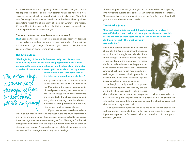You may be unaware at the beginning of the relationship that your partner has experienced sexual abuse. Your partner might not have told you because she was afraid you would reject or not believe her. She might have felt too guilty and ashamed to talk about the abuse. She might have been telling herself the abuse hasn't affected her. Whatever the reason, it's something that happened in her life that she wasn't responsible for, but now profoundly affects both of you.

#### Can my partner recover from sexual abuse?

YES! Your partner can recover from sexual abuse. Recovery depends on the kind of abuse she experienced, as well as the kind of support she has. There's no "right" length of time or "right" way to recover, but most people go through the following three stages:

#### The Crisis Stage

"The beginning of this whole thing was really hard. Annie didn't sleep well any more and she was having nightmares. After a while she seemed to resist going to bed so I went to bed alone. She'd stay up and read. Sometimes I'd wake up in the middle of the night alone

The crisis stage<br>is easier to go<br>through if you What's happening.

and she'd be in the living room with all the lights on, wrapped up in a blanket. "

Your partner might be thrown into a crisis as she starts to look at what happened to her. Memories of the events might come in bits and pieces that may not make sense to her. As she struggles with these memories she might doubt the abuse happened and worry that she's going crazy. But she isn't. Her mind is letting information in little by little so she won't be overwhelmed.

If your partner has always known about

the abuse but has had little or no feeling about it, she could experience a crisis when she starts to feel the emotional pain connected to the abuse. These feelings may seem overwhelming at first. She might find herself crying without knowing why. She might suddenly be afraid to be alone or withdraw from people. A counsellor can be helpful at this stage to help her learn skills to manage these thoughts and feelings.

The crisis stage is easier to go through if you understand what's happening. One way to find out is to call a sexual assault centre and talk to a counsellor. They can explain more about what your partner is going through and will give you some ideas on how to handle it.

#### The Middle Stage

"She kept digging into her past. I thought it would never stop. It was as if she had to go back to all the important times and people in her life and look at them again and again. She had to see what her childhood was really like; what her family was really like."

When your partner decides to deal with the abuse, she'll enter a stage of hard emotional work. She will struggle with details of the abuse, struggle to express her feelings about it, and to integrate the memories. This means she has to acknowledge how deeply she has been affected by the abuse. She'll experience emotional upheaval which may include grief and anger. However, she'll probably be relieved, too, when some of her feelings and behaviours start to make sense to her.

Although you might wish your partner would hurry and get on with recovery, she can do it only when she's ready. If she's worried

about whether she can do it, encourage her to talk to a counsellor, or do some reading. If your partner is anxious about how it will affect your relationship, you could talk to a counsellor together about concerns and about what you might do to help.

Don't pressure your partner. The decisions along the way aren't easy and your partner must make them for her own reasons, not to please you. If you feel impatient or frustrated, talk to a counsellor or find a support group for yourself.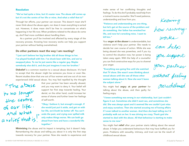#### Resolution

#### "We've had quite a time, but it's easier now. The abuse still comes up but it's not the centre of her life or mine. And what a relief that is!"

Through her efforts, your partner can recover. This doesn't mean she'll never think about the abuse again, nor does it mean everything is sorted out. However, it does mean she'll be free to concentrate on what's happening in her life now. When problems related to the abuse do come up, she'll feel more confident about handling them.

As a partner you'll be involved and affected by every stage of the recovery process. Knowing how recovery works can help you support your partner without feeling overwhelmed.

#### Do other partners react the way I am reacting?

"I just can't believe her big brother did all those things to her. I've played football with him. I've drunk beer with him, and we've swapped jokes. To me he just seems like a regular guy. Maybe somebody else did it, and she just imagines it was her brother."

Disbelief is a common reaction to a sexual abuse disclosure. It's hard to accept that the abuser might be someone you know or even like. Recent studies show that one out of four women and one out of six men experienced child sexual abuse. You may feel repelled by the thought

"The abuse jes no longer the centre of our life. And what a velief that is that your partner has been sexually abused, and you may want to deny it. Your belief will support her first step towards healing. Your denial, on the other hand, could increase her sense of shame and further lower her feelings of self-worth.

"Okay, I believe it, but enough's enough. If she would just put it aside, and get on with her life, we'd both be better off. You can't 1 w undo the past, and crying over spilled milk only makes things worse. We can both go ahead from here and have a wonderful life together."

**Minimizing** the abuse and its impact is tempting, but it doesn't help. Remembering the abuse and telling you about it is only the first step towards recovery for your partner. Now she needs to experience and

make sense of her conflicting thoughts and feelings. To do this she'll probably need help from a trained trauma counsellor. She'll need patience, understanding and love from you.

"Patience and understanding are one thing, but let's get at the source of the problem and do something. Her father has wrecked her life, and now he's wrecking mine. I want to kill him."

Your **anger at the abuser** is understandable, but violence won't help your partner. She needs to decide her own course of action. While she was being abused she was powerless, and if you try to control the situation now, her power is being taken away again. With the help of a counsellor you can find constructive ways for you to channel your anger.

"Everything was going fine until she watched that TV show. She wasn't even thinking about sexual abuse until she saw all those other women talking about it. Now she won't leave the subject alone."

You might feel angry at your partner for talking about the abuse, and then guilty for feeling angry.

"I knew something was wrong in our relationship, but I just couldn't figure it out. Sometimes she didn't want sex, and sometimes she did. She was always upset and it seemed like we couldn't just relax and enjoy ourselves. Then she started accusing me of having affairs if I even talked to another woman. And then she kept telling me I'd probably walk out on her. It was driving me crazy. Thank god she started to deal with the abuse. All that behaviour is starting to make sense to me now."

You might feel relief after your partner starts talking about the sexual abuse. It helps you understand behaviours that may have baffled you for years. Problems with sexuality, intimacy, and trust can be the result of childhood sexual abuse.

Knowing<br>how recovery.

can help

you support

your partner

*meswhelmed*.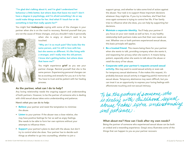"I'm glad she's talking about it, and I'm glad I understand her behaviour a little better, but where does that leave me now? I don't have a degree in psychology, and I'm afraid something I do or say could make things worse for her. And what if I touch her or do something in bed that really upsets her?"

You might feel *inadequate* coping with some of the changes in your partner when she is on the road to recovery. Remind yourself that you are not the cause of these changes, and you shouldn't take it personally



when she is angry or doesn't want to be touched.

"Why am I in so much pain? She looks like the same person, and I'm still in love with her, but she seems so different. It's like living with a stranger, and I really miss the old person. I know she's getting better, but where does that leave me?"

You might experience grief as you see your partner change. Remind yourself that she is the same person. Experiencing personal changes can be as exciting and stressful for you as it is for her. You have to trust and be patient with her healing process.

#### As the partner, what can I do to help?

Any loving relationship needs the ongoing support and understanding of both partners. However, to be the partner of someone who is dealing with child sexual abuse takes extra understanding and patience.

Here's what you can do to help:

- Believe your partner and resist the temptation to minimize the abuse.
- Listen to your partner. If the abuser was a close relative, she may have positive feelings for her as well as angry feelings. She needs to be able to form her own opinions without your attempts to influence them.
- Support your partner's plans to deal with the abuse, but don't try to control what she does. Your partner has to decide such things as whether to go into counselling, whether to join a

support group, and whether to take some kind of action against the abuser. Your task is to support these important decisions whatever they might be. If you try to interfere, she'll feel that once again someone is trying to control her life. If her family tries to influence what she does, you can help by supporting her decisions.

- Maintain a separate identity. You'll help your partner if you focus on your own needs as well as hers. In any healthy relationship both partners make sure that their own needs are met. Whether one or both partners experienced sexual abuse, this basic principle still applies.
- Be a trusted friend. This means being there for your partner when she wants to talk, providing company when she wants it, and respecting her privacy when she wants it. It means being patient, especially when she wants to talk about the abuse or retell the story of her abuse.
- Cooperate with your partner's requests around sexual activity. She may want to avoid sexual activity or even ask for temporary sexual abstinence. If she makes this request, it's probably because sexual activity is triggering painful memories of sexual abuse. Temporary abstinence may seem difficult, but you can treat it as an opportunity to express your loving feelings with affectionate touching and non-sexual intimacy.

To be the partner of someone who<br>is dealing with childhood sexual<br>abuse fakes lytra understanding<br>dnd patience.

#### What about me? How can I look after my own needs?

Being the partner of someone who experienced sexual abuse can be both an ordeal and a rewarding experience. Greg's story illustrates some of the things that can happen to you as your partner recovers: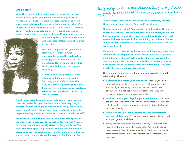#### Greg's story

When Greg met his wife, Linda, she was in counselling because of sexual abuse by her grandfather. When they began a sexual relationship, Greg noticed that she resisted intimacy. She would always wear pyjamas to bed and never let him see her naked. Greg thought this meant that she was modest. Linda owned a successful computer software business and Greg worked as a journeyman welder. He was flattered that a "professional" woman was interested



in a "working-class" man like himself, and was even more flattered when she agreed to marry him.

Linda told Greg about her grandfather after they were married. Greg supported her counselling and made a lot of aggressive comments about her grandfather. He saw himself as a "white knight" who had rescued her from an evil family.

As Linda's counselling progressed, the relationship deteriorated. Instead of becoming more comfortable with her body, she still wore pyjamas to bed, and frequently resisted Greg's sexual overtures. When he persisted, she told him that he was "a sex fiend".

Then Linda accused Greg of attempting to control her, of being a chauvinist, and of flirting with other women. Eventually Greg lost patience. He told her to get on with her counselling so they could have a normal sex life. She accused him of emotional violence. In desperation Greg made an appointment to see a counsellor himself.

The counsellor asked Greg to look at some of the assumptions he had made about Linda. Greg found that Linda's "modesty" was, in fact, a reaction to being sexually abused by her grandfather. The counsellor also helped Greg separate what was true about Linda's accusations, from her perceptions of him that were distorted by the abuse. He had to acknowledge, for example, that his aggressive

Respect your own boundaires and set limits

"white knight" approach was chauvinistic and controlling, and that Linda's perception of him as a "sex fiend" wasn't valid.

The counsellor also helped Greg see that he had idealized Linda as a middle-class achiever who had done him a favour by marrying him, and that this was quite unrealistic. This in turn led Greg to see how his selfesteem had been impacted by his own upbringing. In the end, he was able to be more supportive of Linda because he had a better sense of his own self-worth.

He learned not to assume that he was automatically wrong when Linda attacked him. As Greg became more realistic about her, he gave up playing the "white knight". When Linda felt more in control of her recovery, she stopped her verbal attacks. Greg also learned how to build greater non-sexual intimacy into their relationship. They both benefited in many ways from counselling.

Greg's story contains several important principles for a healthy relationship. They are:

- Recognize and assert your own needs. Respect your own boundaries and set limits if your partner's behaviour becomes abusive. If you frequently place your partner's needs ahead of your own, it is not healthy and may stand in the way of her recovery and your own emotional well-being.
- Look at the role you played in your own family. If you were the one who "took care of everything" in your family, you run the risk of carrying that role into your relationship. It may feel good but it isn't healthy.
- Make sure that you have support outside your intimate partner relationship. This support may be a counsellor, a friend, a support group, or all three.
- Enjoy your relationship for what it really is, and try not to make it conform to some idealized model. Your own family may have created a false picture of what family life is, and the media often contributes to unrealistic expectations of what family life looks like.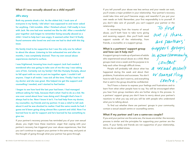#### Jill's story

Both my parents drank a lot. As the oldest kid, I took care of everyone in my family. I did what I was supposed to and never asked for anything. I felt invisible. After I finished school, I fell madly in love with Jack. No one had ever wanted me like he did. After a wonderful year together Jack began to remember being sexually abused as a child. I tried to help but I was angry. It seemed unfair that I'd finally found someone who loved me and now we had to deal with this big issue.

His family tried to be supportive but I was the only one he talked to about the abuse. Listening to him exhausted me and after six months, I was completely drained. Then my own sexual abuse experiences started to surface.

I was frightened, knowing how much support Jack had needed. I wondered who was going to take care of me the way I was taking care of him. Certainly not my family! I felt like Humpty Dumpty, about to fall apart with no one to put me together again. I couldn't tell anyone. I kept it all inside. I was sick all the time. Finally I had to tell my doctor and she was great. She helped me get the support and counselling I needed, and I started to feel better.

I began to see how hard the last year had been. I had managed without asking for help, because that's what I had to do as a kid. No one ever cared about how I was doing and I thought that's how it always had to be. Now I know it isn't. I've had help from my doctor, my counsellor, my friends and my partner. It was a relief to tell Jack about it and he was shocked to realize I had the same needs he had. I guess we'd been going along almost like a parent and child. Now I've learned how to ask for support and he's learned he has something to give me.

If your partner's recovery process has reminded you of your own sexual abuse, you might have these reactions: *anger* that coping with your partner's recovery has triggered your own abuse experiences; *fear* that you can't continue to support your partner in the same way; and *panic* at the thought of going through what your partner has gone through.

If you tell yourself your abuse was less serious and your needs can wait, you'll create a major problem in your relationship. Your partner's recovery could take time and you'll become angry and resentful if you put your own needs on hold. Remember, your first responsibility is to yourself. If you don't take care of yourself, you can't support your partner or the relationship. To find

In recovering from the trauma of sexual abuse, you'll both have to take turns giving and receiving support. Also you'll both need support outside of the relationship, from friends, a counsellor, or a support group.

#### What is a partners' support group and how can it help me?

A support group is made up of partners of adults who experienced sexual abuse as a child. Most groups meet once a week and the purpose is to help each other through difficult times.

People will probably talk about what has happened during the week and about their problems, frustrations and successes. You don't have to talk if you don't want to, and everything that is said in the group should be confidential.

You'll have a chance to express your feelings and frustrations and to learn from what other people have to say. You will be encouraged when you hear from group members who are further along in the process. In a partners' support group you don't have to worry about your partner's reactions to what you say and you will be with people who understand what you're talking about.

To find out whether there are partners' groups in your community, contact a sexual assault centre or counselling centre.

#### What if my partner and I are a same-sex couple?

If you and your partner are the same sex, the issues are similar: the recovery process is similar and the principles for supporting your partner are the same. If your family and friends are not supportive of your relationship, this can be an added stress.

out if there support groups in your community, a sexual assault ov counse lling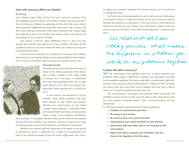#### How will recovery affect our family?

#### Parenting

Your children might suffer at first from your partner's recovery. They will probably sense the stress, and wonder whether they are causing it. You can help your children by explaining to them that their mom and/or dad is upset by childhood memories that make them sad or angry, and that those feelings sometimes make them impatient and cranky. Keep the explanation short and simple, and reassure them that they're not responsible for their parents' feelings.

Your partner could be under additional stress if, when she was abused, she was the same age as one of your children. Be aware of this possible connection, but don't share this with your children as it may be very confusing to them.

If your partner is putting a lot of effort into recovery, and is feeling exhausted, you can help by taking on extra responsibility for the children. Plan to have fun with them while you give your partner time to rest.



Your partner's recovery will affect the way you relate to her family, especially if the abuser was a family member. If the family failed to protect her in the past, or disbelieves her now, they'll probably want her to keep quiet about it. Your task is to support her, especially if they pressure her to retract the story.

If your partner was abused by a family member, other family members may have been abused as well. When your partner discloses her sexual abuse to one family member, there could be a "snow-ball" effect with several family members disclosing their abuse as well. If your partner's grandfather

was an abuser, for example, and the family secret is that he had abused several of his own children, your partner's disclosure could set the stage for disclosures by several family members, including her own parent.

Whether your partner tells her family about the abuse or not should be entirely her choice. It depends on a number of circumstances, but both of you should be aware of how her family might react. Your role is to support your partner, whatever her choices may be, not to rescue her or avenge the abuse.

You'll also have to decide whether or not to tell your own family about your partner's abuse. To make that choice, you'll have to ask your partner whether she wants you to talk about it. Then you'll have to think about the impact this will have on your family. If you think they'll support both you and your partner, tell them. If you think they'll respond in a negative way,

# don't.<br>All relationships have<br>Nocky periods. What makes work on the problems together.

#### Is there life after recovery?

YES! All relationships have periods when one or both partners have problems. What makes a difference is whether you talk about and work on the problems together. The abuse might affect a relationship right from the start, even when you know nothing about it. When you find out about the abuse, then you know what you're dealing with and have a better chance of solving the problems as they come up.

The communication and support you develop while you do this will establish a sense of trust so that you'll be able to talk safely about even the most sensitive, vulnerable issues. That's a sound foundation for any relationship.

For life after recovery, remind yourself of these guidelines:

- Continue to communicate your love.
- Be caring in your actions.
- Be aware of your own needs and limits.
- Communicate your needs and limits to your partner.
- Spend time with each other that is not focussed on the sexual abuse.
- Enjoy each other's company and remember why you chose to be together in the first place.